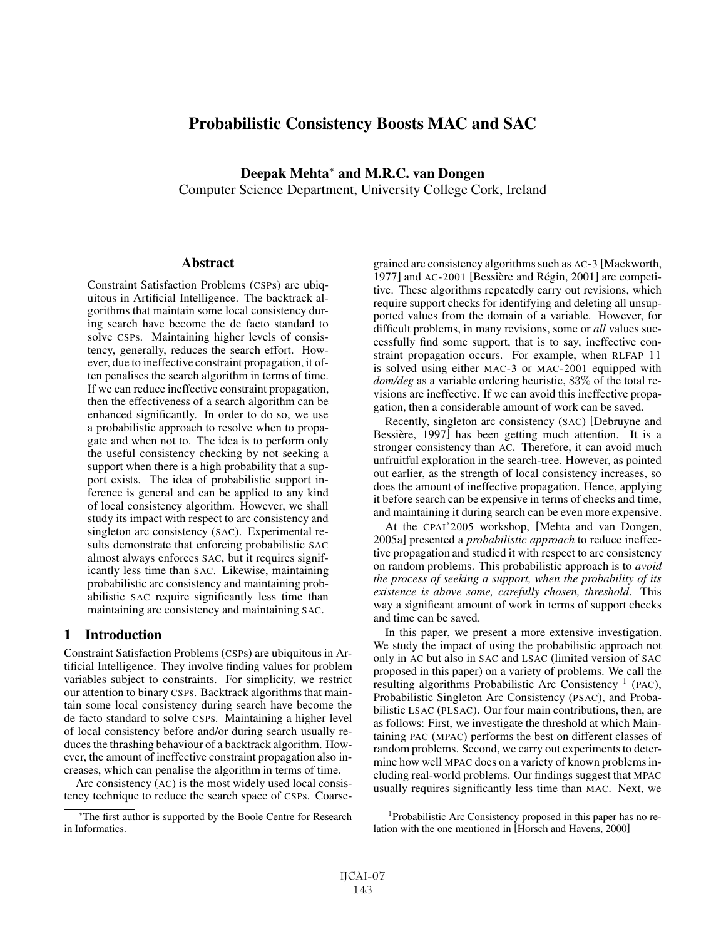# Probabilistic Consistency Boosts MAC and SAC

Deepak Mehta<sup>∗</sup> and M.R.C. van Dongen

Computer Science Department, University College Cork, Ireland

#### **Abstract**

Constraint Satisfaction Problems (CSPs) are ubiquitous in Artificial Intelligence. The backtrack algorithms that maintain some local consistency during search have become the de facto standard to solve CSPs. Maintaining higher levels of consistency, generally, reduces the search effort. However, due to ineffective constraint propagation, it often penalises the search algorithm in terms of time. If we can reduce ineffective constraint propagation, then the effectiveness of a search algorithm can be enhanced significantly. In order to do so, we use a probabilistic approach to resolve when to propagate and when not to. The idea is to perform only the useful consistency checking by not seeking a support when there is a high probability that a support exists. The idea of probabilistic support inference is general and can be applied to any kind of local consistency algorithm. However, we shall study its impact with respect to arc consistency and singleton arc consistency (SAC). Experimental results demonstrate that enforcing probabilistic SAC almost always enforces SAC, but it requires significantly less time than SAC. Likewise, maintaining probabilistic arc consistency and maintaining probabilistic SAC require significantly less time than maintaining arc consistency and maintaining SAC.

### 1 Introduction

Constraint Satisfaction Problems (CSPs) are ubiquitous in Artificial Intelligence. They involve finding values for problem variables subject to constraints. For simplicity, we restrict our attention to binary CSPs. Backtrack algorithms that maintain some local consistency during search have become the de facto standard to solve CSPs. Maintaining a higher level of local consistency before and/or during search usually reduces the thrashing behaviour of a backtrack algorithm. However, the amount of ineffective constraint propagation also increases, which can penalise the algorithm in terms of time.

Arc consistency (AC) is the most widely used local consistency technique to reduce the search space of CSPs. Coarsegrained arc consistency algorithms such as AC-3 [Mackworth, 1977] and  $AC-2001$  [Bessière and Régin, 2001] are competitive. These algorithms repeatedly carry out revisions, which require support checks for identifying and deleting all unsupported values from the domain of a variable. However, for difficult problems, in many revisions, some or *all* values successfully find some support, that is to say, ineffective constraint propagation occurs. For example, when RLFAP 11 is solved using either MAC-3 or MAC-2001 equipped with *dom/deg* as a variable ordering heuristic, 83% of the total revisions are ineffective. If we can avoid this ineffective propagation, then a considerable amount of work can be saved.

Recently, singleton arc consistency (SAC) [Debruyne and Bessière, 1997] has been getting much attention. It is a stronger consistency than AC. Therefore, it can avoid much unfruitful exploration in the search-tree. However, as pointed out earlier, as the strength of local consistency increases, so does the amount of ineffective propagation. Hence, applying it before search can be expensive in terms of checks and time, and maintaining it during search can be even more expensive.

At the CPAI'2005 workshop, [Mehta and van Dongen, 2005a] presented a *probabilistic approach* to reduce ineffective propagation and studied it with respect to arc consistency on random problems. This probabilistic approach is to *avoid the process of seeking a support, when the probability of its existence is above some, carefully chosen, threshold*. This way a significant amount of work in terms of support checks and time can be saved.

In this paper, we present a more extensive investigation. We study the impact of using the probabilistic approach not only in AC but also in SAC and LSAC (limited version of SAC proposed in this paper) on a variety of problems. We call the resulting algorithms Probabilistic Arc Consistency  $<sup>1</sup>$  (PAC),</sup> Probabilistic Singleton Arc Consistency (PSAC), and Probabilistic LSAC (PLSAC). Our four main contributions, then, are as follows: First, we investigate the threshold at which Maintaining PAC (MPAC) performs the best on different classes of random problems. Second, we carry out experiments to determine how well MPAC does on a variety of known problems including real-world problems. Our findings suggest that MPAC usually requires significantly less time than MAC. Next, we

<sup>∗</sup>The first author is supported by the Boole Centre for Research in Informatics.

<sup>1</sup> Probabilistic Arc Consistency proposed in this paper has no relation with the one mentioned in [Horsch and Havens, 2000]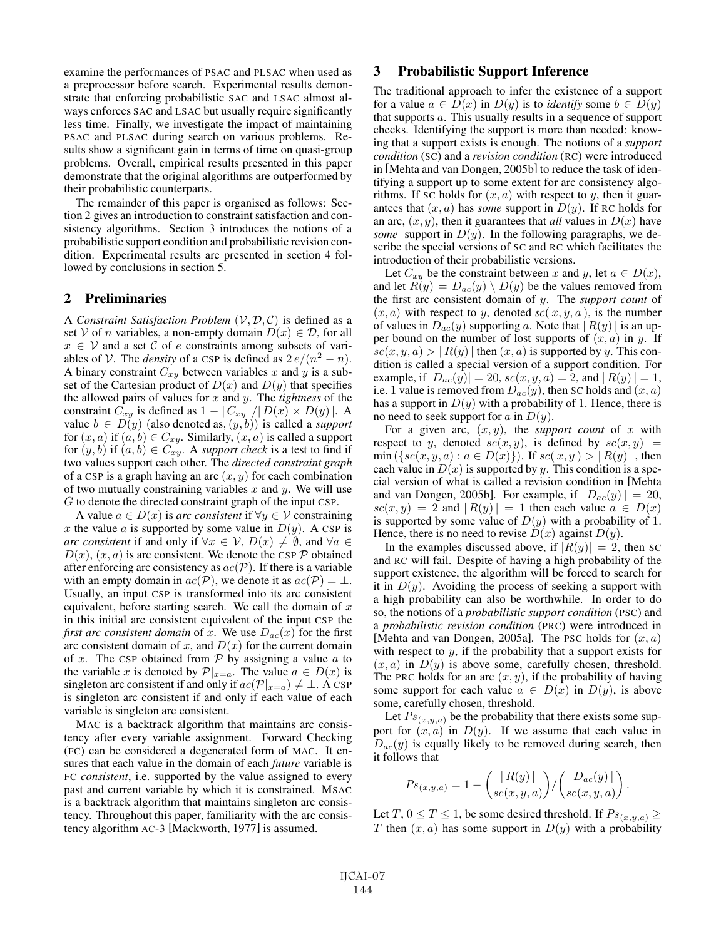examine the performances of PSAC and PLSAC when used as a preprocessor before search. Experimental results demonstrate that enforcing probabilistic SAC and LSAC almost always enforces SAC and LSAC but usually require significantly less time. Finally, we investigate the impact of maintaining PSAC and PLSAC during search on various problems. Results show a significant gain in terms of time on quasi-group problems. Overall, empirical results presented in this paper demonstrate that the original algorithms are outperformed by their probabilistic counterparts.

The remainder of this paper is organised as follows: Section 2 gives an introduction to constraint satisfaction and consistency algorithms. Section 3 introduces the notions of a probabilistic support condition and probabilistic revision condition. Experimental results are presented in section 4 followed by conclusions in section 5.

#### 2 Preliminaries

A *Constraint Satisfaction Problem*  $(V, D, C)$  is defined as a set V of *n* variables, a non-empty domain  $D(x) \in \mathcal{D}$ , for all  $x \in V$  and a set C of e constraints among subsets of variables of V. The *density* of a CSP is defined as  $2 e/(n^2 - n)$ . A binary constraint  $C_{xy}$  between variables x and y is a subset of the Cartesian product of  $D(x)$  and  $D(y)$  that specifies the allowed pairs of values for x and y. The *tightness* of the constraint  $C_{xy}$  is defined as  $1 - |C_{xy}|/|D(x) \times D(y)|$ . A value  $b \in D(y)$  (also denoted as,  $(y, b)$ ) is called a *support* for  $(x, a)$  if  $(a, b) \in C_{xy}$ . Similarly,  $(x, a)$  is called a support for  $(y, b)$  if  $(a, b) \in C_{xy}^{\bullet}$ . A *support check* is a test to find if two values support each other. The *directed constraint graph* of a CSP is a graph having an arc  $(x, y)$  for each combination of two mutually constraining variables  $x$  and  $y$ . We will use G to denote the directed constraint graph of the input CSP.

A value  $a \in D(x)$  is *arc consistent* if  $\forall y \in V$  constraining x the value a is supported by some value in  $D(y)$ . A CSP is *arc consistent* if and only if  $\forall x \in V$ ,  $D(x) \neq \emptyset$ , and  $\forall a \in V$  $D(x)$ ,  $(x, a)$  is arc consistent. We denote the CSP  $\mathcal P$  obtained after enforcing arc consistency as  $ac(\mathcal{P})$ . If there is a variable with an empty domain in  $ac(P)$ , we denote it as  $ac(P) = \perp$ . Usually, an input CSP is transformed into its arc consistent equivalent, before starting search. We call the domain of  $x$ in this initial arc consistent equivalent of the input CSP the *first arc consistent domain* of x. We use  $D_{ac}(x)$  for the first arc consistent domain of x, and  $D(x)$  for the current domain of x. The CSP obtained from  $P$  by assigning a value  $a$  to the variable x is denoted by  $\mathcal{P}|_{x=a}$ . The value  $a \in D(x)$  is singleton arc consistent if and only if  $ac(\mathcal{P}|_{x=a}) \neq \bot$ . A CSP is singleton arc consistent if and only if each value of each variable is singleton arc consistent.

MAC is a backtrack algorithm that maintains arc consistency after every variable assignment. Forward Checking (FC) can be considered a degenerated form of MAC. It ensures that each value in the domain of each *future* variable is FC *consistent*, i.e. supported by the value assigned to every past and current variable by which it is constrained. MSAC is a backtrack algorithm that maintains singleton arc consistency. Throughout this paper, familiarity with the arc consistency algorithm AC-3 [Mackworth, 1977] is assumed.

### 3 Probabilistic Support Inference

The traditional approach to infer the existence of a support for a value  $a \in D(x)$  in  $D(y)$  is to *identify* some  $b \in D(y)$ that supports a. This usually results in a sequence of support checks. Identifying the support is more than needed: knowing that a support exists is enough. The notions of a *support condition* (SC) and a *revision condition* (RC) were introduced in [Mehta and van Dongen, 2005b] to reduce the task of identifying a support up to some extent for arc consistency algorithms. If sc holds for  $(x, a)$  with respect to y, then it guarantees that  $(x, a)$  has *some* support in  $D(y)$ . If RC holds for an arc,  $(x, y)$ , then it guarantees that *all* values in  $D(x)$  have *some* support in  $D(y)$ . In the following paragraphs, we describe the special versions of SC and RC which facilitates the introduction of their probabilistic versions.

Let  $C_{xy}$  be the constraint between x and y, let  $a \in D(x)$ , and let  $R(y) = D_{ac}(y) \setminus D(y)$  be the values removed from the first arc consistent domain of y. The *support count* of  $(x, a)$  with respect to y, denoted  $\mathfrak{sc}(x, y, a)$ , is the number of values in  $D_{ac}(y)$  supporting a. Note that  $|R(y)|$  is an upper bound on the number of lost supports of  $(x, a)$  in y. If  $\mathit{sc}(x, y, a)$  >  $|R(y)|$  then  $(x, a)$  is supported by y. This condition is called a special version of a support condition. For example, if  $|D_{ac}(y)| = 20$ ,  $sc(x, y, a) = 2$ , and  $|R(y)| = 1$ , i.e. 1 value is removed from  $D_{ac}(y)$ , then SC holds and  $(x, a)$ has a support in  $D(y)$  with a probability of 1. Hence, there is no need to seek support for  $a$  in  $D(y)$ .

For a given arc,  $(x, y)$ , the *support count* of x with respect to y, denoted  $sc(x, y)$ , is defined by  $sc(x, y)$  =  $\min(\{sc(x, y, a) : a \in D(x)\})$ . If  $sc(x, y) > |R(y)|$ , then each value in  $D(x)$  is supported by y. This condition is a special version of what is called a revision condition in [Mehta and van Dongen, 2005b]. For example, if  $|D_{ac}(y)| = 20$ ,  $\vert sc(x, y) \vert = 2$  and  $\vert R(y) \vert = 1$  then each value  $a \in D(x)$ is supported by some value of  $D(y)$  with a probability of 1. Hence, there is no need to revise  $D(x)$  against  $D(y)$ .

In the examples discussed above, if  $|R(y)| = 2$ , then SC and RC will fail. Despite of having a high probability of the support existence, the algorithm will be forced to search for it in  $D(y)$ . Avoiding the process of seeking a support with a high probability can also be worthwhile. In order to do so, the notions of a *probabilistic support condition* (PSC) and a *probabilistic revision condition* (PRC) were introduced in [Mehta and van Dongen, 2005a]. The PSC holds for  $(x, a)$ with respect to  $y$ , if the probability that a support exists for  $(x, a)$  in  $D(y)$  is above some, carefully chosen, threshold. The PRC holds for an arc  $(x, y)$ , if the probability of having some support for each value  $a \in D(x)$  in  $D(y)$ , is above some, carefully chosen, threshold.

Let  $Ps_{(x,y,a)}$  be the probability that there exists some support for  $(x, a)$  in  $D(y)$ . If we assume that each value in  $D_{ac}(y)$  is equally likely to be removed during search, then it follows that

$$
Ps_{(x,y,a)} = 1 - \binom{|R(y)|}{sc(x,y,a)} / \binom{|D_{ac}(y)|}{sc(x,y,a)}.
$$

Let T,  $0 \le T \le 1$ , be some desired threshold. If  $Ps_{(x,y,a)} \ge$ T then  $(x, a)$  has some support in  $D(y)$  with a probability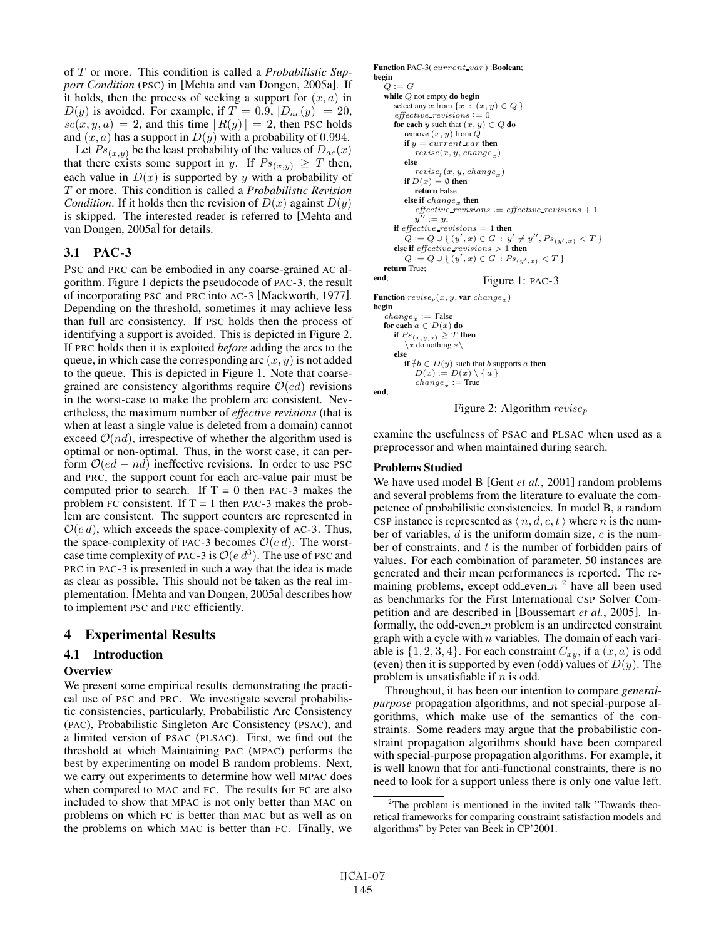of T or more. This condition is called a *Probabilistic Support Condition* (PSC) in [Mehta and van Dongen, 2005a]. If it holds, then the process of seeking a support for  $(x, a)$  in  $D(y)$  is avoided. For example, if  $T = 0.9$ ,  $|D_{ac}(y)| = 20$ ,  $\operatorname{sc}(x, y, a) = 2$ , and this time  $|R(y)| = 2$ , then PSC holds and  $(x, a)$  has a support in  $D(y)$  with a probability of 0.994.

Let  $Ps_{(x,y)}$  be the least probability of the values of  $D_{ac}(x)$ that there exists some support in y. If  $Ps_{(x,y)} \geq T$  then, each value in  $D(x)$  is supported by y with a probability of T or more. This condition is called a *Probabilistic Revision Condition*. If it holds then the revision of  $D(x)$  against  $D(y)$ is skipped. The interested reader is referred to [Mehta and van Dongen, 2005a] for details.

### 3.1 PAC-3

PSC and PRC can be embodied in any coarse-grained AC algorithm. Figure 1 depicts the pseudocode of PAC-3, the result of incorporating PSC and PRC into AC-3 [Mackworth, 1977]. Depending on the threshold, sometimes it may achieve less than full arc consistency. If PSC holds then the process of identifying a support is avoided. This is depicted in Figure 2. If PRC holds then it is exploited *before* adding the arcs to the queue, in which case the corresponding arc  $(x, y)$  is not added to the queue. This is depicted in Figure 1. Note that coarsegrained arc consistency algorithms require  $O(ed)$  revisions in the worst-case to make the problem arc consistent. Nevertheless, the maximum number of *effective revisions* (that is when at least a single value is deleted from a domain) cannot exceed  $\mathcal{O}(nd)$ , irrespective of whether the algorithm used is optimal or non-optimal. Thus, in the worst case, it can perform  $O(ed - nd)$  ineffective revisions. In order to use PSC and PRC, the support count for each arc-value pair must be computed prior to search. If  $T = 0$  then PAC-3 makes the problem FC consistent. If  $T = 1$  then PAC-3 makes the problem arc consistent. The support counters are represented in  $O(ed)$ , which exceeds the space-complexity of AC-3. Thus, the space-complexity of PAC-3 becomes  $O(e d)$ . The worstcase time complexity of PAC-3 is  $O(e d^3)$ . The use of PSC and PRC in PAC-3 is presented in such a way that the idea is made as clear as possible. This should not be taken as the real implementation. [Mehta and van Dongen, 2005a] describes how to implement PSC and PRC efficiently.

### 4 Experimental Results

### 4.1 Introduction

#### **Overview**

We present some empirical results demonstrating the practical use of PSC and PRC. We investigate several probabilistic consistencies, particularly, Probabilistic Arc Consistency (PAC), Probabilistic Singleton Arc Consistency (PSAC), and a limited version of PSAC (PLSAC). First, we find out the threshold at which Maintaining PAC (MPAC) performs the best by experimenting on model B random problems. Next, we carry out experiments to determine how well MPAC does when compared to MAC and FC. The results for FC are also included to show that MPAC is not only better than MAC on problems on which FC is better than MAC but as well as on the problems on which MAC is better than FC. Finally, we

```
Function PAC-3( current_var) :Boolean;
begin
    Q:=Gwhile Q not empty do begin
        select any x from \{x : (x, y) \in Q\}effective revisions := 0
        for each y such that (x, y) \in Q do
            remove (x, y) from Qif y = current\_var then
                rewise(x, y, change_x)else
                rewise_p(x, y, change_x)if D(x) = \emptyset then
               return False
            else if change_x then
                \label{eq:effective} \begin{aligned} \textit{effective} \textit{--} \textit{revisions} \textit{:=} \textit{effective} \textit{-} \textit{revisions} \textit{+} 1 \end{aligned}y^{\gamma\prime} := y;if effective revisions = 1 then<br>
Q := Q \cup \{ (y', x) \in G : y' \neq y'', P s_{(y', x)} < T \}<br>
also if effective revisions > 1 then
        else if effective revisions > 1 then
             Q := Q \cup \{ (y', x) \in G : Ps_{(y', x)} < T \}return True;<br>end:
                                           Figure 1: PAC-3
Function rewise_p(x, y, \text{var } change_x)begin<br>change<sub>x</sub> := False
    change<sub>x</sub> := False<br>for each a \in D(x) do
        if Ps_{(x,y,a)} \geq T then<br> \setminus * do nothing *\setminuselse
             if \nexists b \in D(y) such that b supports a then
                D(x) := D(x) \setminus \{a\}change_x := True
```




examine the usefulness of PSAC and PLSAC when used as a preprocessor and when maintained during search.

#### Problems Studied

We have used model B [Gent *et al.*, 2001] random problems and several problems from the literature to evaluate the competence of probabilistic consistencies. In model B, a random CSP instance is represented as  $\langle n, d, c, t \rangle$  where n is the number of variables,  $d$  is the uniform domain size,  $c$  is the number of constraints, and  $t$  is the number of forbidden pairs of values. For each combination of parameter, 50 instances are generated and their mean performances is reported. The remaining problems, except odd even  $n<sup>2</sup>$  have all been used as benchmarks for the First International CSP Solver Competition and are described in [Boussemart *et al.*, 2005]. Informally, the odd-even  $n$  problem is an undirected constraint graph with a cycle with  $n$  variables. The domain of each variable is  $\{1, 2, 3, 4\}$ . For each constraint  $C_{xy}$ , if a  $(x, a)$  is odd (even) then it is supported by even (odd) values of  $D(y)$ . The problem is unsatisfiable if  $n$  is odd.

Throughout, it has been our intention to compare *generalpurpose* propagation algorithms, and not special-purpose algorithms, which make use of the semantics of the constraints. Some readers may argue that the probabilistic constraint propagation algorithms should have been compared with special-purpose propagation algorithms. For example, it is well known that for anti-functional constraints, there is no need to look for a support unless there is only one value left.

<sup>&</sup>lt;sup>2</sup>The problem is mentioned in the invited talk "Towards theoretical frameworks for comparing constraint satisfaction models and algorithms" by Peter van Beek in CP'2001.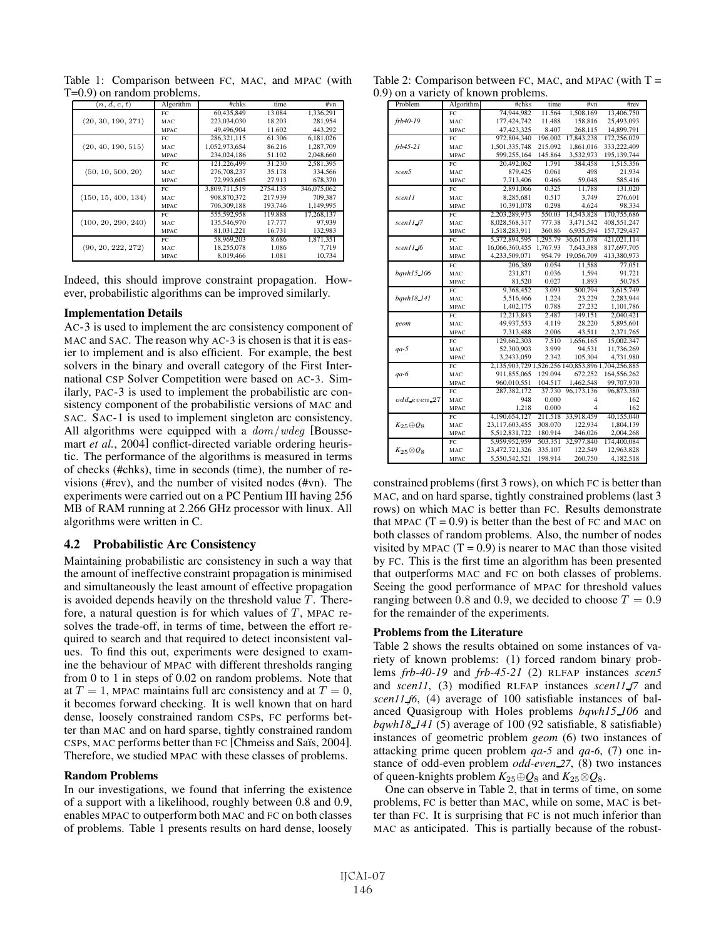Table 1: Comparison between FC, MAC, and MPAC (with T=0.9) on random problems.

| $\langle n, d, c, t \rangle$ | Algorithm   | #chks         | time     | #vn         |
|------------------------------|-------------|---------------|----------|-------------|
|                              | FC.         | 60.435.849    | 13.084   | 1.336.291   |
| (20, 30, 190, 271)           | MAC.        | 223,034,030   | 18.203   | 281.954     |
|                              | <b>MPAC</b> | 49.496.904    | 11.602   | 443.292     |
|                              | FC.         | 286,321,115   | 61.306   | 6.181.026   |
| (20, 40, 190, 515)           | MAC         | 1,052,973,654 | 86.216   | 1.287.709   |
|                              | <b>MPAC</b> | 234,024,186   | 51.102   | 2.048.660   |
|                              | FC.         | 121.226.499   | 31.230   | 2.581.395   |
| (50, 10, 500, 20)            | MAC.        | 276,708,237   | 35.178   | 334.566     |
|                              | <b>MPAC</b> | 72,993,605    | 27.913   | 678,370     |
|                              | FC.         | 3.809.711.519 | 2754.135 | 346,075,062 |
| (150, 15, 400, 134)          | MAC.        | 908,870,372   | 217.939  | 709.387     |
|                              | <b>MPAC</b> | 706,309,188   | 193.746  | 1,149,995   |
|                              | FC          | 555.592.958   | 119.888  | 17.268.137  |
| (100, 20, 290, 240)          | MAC.        | 135,546,970   | 17.777   | 97.939      |
|                              | <b>MPAC</b> | 81.031.221    | 16.731   | 132,983     |
|                              | FC.         | 58,969,203    | 8.686    | 1.871.351   |
| (90, 20, 222, 272)           | MAC.        | 18.255.078    | 1.086    | 7.719       |
|                              | <b>MPAC</b> | 8.019.466     | 1.081    | 10.734      |

Indeed, this should improve constraint propagation. However, probabilistic algorithms can be improved similarly.

#### Implementation Details

AC-3 is used to implement the arc consistency component of MAC and SAC. The reason why AC-3 is chosen is that it is easier to implement and is also efficient. For example, the best solvers in the binary and overall category of the First International CSP Solver Competition were based on AC-3. Similarly, PAC-3 is used to implement the probabilistic arc consistency component of the probabilistic versions of MAC and SAC. SAC-1 is used to implement singleton arc consistency. All algorithms were equipped with a  $dom/wdeg$  [Boussemart *et al.*, 2004] conflict-directed variable ordering heuristic. The performance of the algorithms is measured in terms of checks (#chks), time in seconds (time), the number of revisions (#rev), and the number of visited nodes (#vn). The experiments were carried out on a PC Pentium III having 256 MB of RAM running at 2.266 GHz processor with linux. All algorithms were written in C.

#### 4.2 Probabilistic Arc Consistency

Maintaining probabilistic arc consistency in such a way that the amount of ineffective constraint propagation is minimised and simultaneously the least amount of effective propagation is avoided depends heavily on the threshold value  $T$ . Therefore, a natural question is for which values of  $T$ , MPAC resolves the trade-off, in terms of time, between the effort required to search and that required to detect inconsistent values. To find this out, experiments were designed to examine the behaviour of MPAC with different thresholds ranging from 0 to 1 in steps of 0.02 on random problems. Note that at  $T = 1$ , MPAC maintains full arc consistency and at  $T = 0$ , it becomes forward checking. It is well known that on hard dense, loosely constrained random CSPs, FC performs better than MAC and on hard sparse, tightly constrained random CSPs, MAC performs better than FC [Chmeiss and Saïs, 2004]. Therefore, we studied MPAC with these classes of problems.

#### Random Problems

In our investigations, we found that inferring the existence of a support with a likelihood, roughly between 0.8 and 0.9, enables MPAC to outperform both MAC and FC on both classes of problems. Table 1 presents results on hard dense, loosely

Table 2: Comparison between FC, MAC, and MPAC (with  $T =$ 0.9) on a variety of known problems.

| Problem              | Algorithm   | #chks                                             | time     | #vn        | #rev        |
|----------------------|-------------|---------------------------------------------------|----------|------------|-------------|
|                      | FC          | 74,944,982                                        | 11.564   | 1,508,169  | 13,406,750  |
| frb40-19             | MAC         | 177,424,742                                       | 11.488   | 158,816    | 25,493,093  |
|                      | <b>MPAC</b> | 47,423,325                                        | 8.407    | 268,115    | 14,899,791  |
|                      | FC          | 972,804,340                                       | 196.002  | 17,843,238 | 172,256,029 |
| $frb45-21$           | MAC         | 1,501,335,748                                     | 215.092  | 1,861,016  | 333,222,409 |
|                      | <b>MPAC</b> | 599,255,164                                       | 145.864  | 3,532,973  | 195,139,744 |
|                      | FC          | 20,492,062                                        | 1.791    | 384,458    | 1.515.356   |
| scen5                | MAC         | 879,425                                           | 0.061    | 498        | 21,934      |
|                      | <b>MPAC</b> | 7,713,406                                         | 0.466    | 59,048     | 585,416     |
|                      | FC          | 2,891,066                                         | 0.325    | 11,788     | 131,020     |
| scen11               | MAC         | 8,285,681                                         | 0.517    | 3,749      | 276,601     |
|                      | <b>MPAC</b> | 10,391,078                                        | 0.298    | 4.624      | 98.334      |
|                      | FC          | 2,203,289,973                                     | 550.03   | 14,543,828 | 170,755,686 |
| scen11 f7            | MAC         | 8,028,568,317                                     | 777.38   | 3,471,542  | 408,551,247 |
|                      | <b>MPAC</b> | 1.518.283.911                                     | 360.86   | 6,935,594  | 157,729,437 |
|                      | FC          | 5,372,894,595                                     | 1,295.79 | 36,611,678 | 421,021,114 |
| scen11 f6            | MAC         | 16,066,360,455                                    | 1,767.93 | 7,643,388  | 817,697,705 |
|                      | <b>MPAC</b> | 4,233,509,071                                     | 954.79   | 19,056,709 | 413,380,973 |
|                      | $_{\rm FC}$ | 206,389                                           | 0.054    | 11,588     | 77,051      |
| bqwh15.106           | MAC         | 231.871                                           | 0.036    | 1.594      | 91.721      |
|                      | <b>MPAC</b> | 81,520                                            | 0.027    | 1,893      | 50,785      |
|                      | FC          | 9,368,452                                         | 3.093    | 500,794    | 3,615,749   |
| bqwh18.141           | MAC         | 5,516,466                                         | 1.224    | 23,229     | 2,283,944   |
|                      | <b>MPAC</b> | 1,402,175                                         | 0.788    | 27,232     | 1,101,786   |
|                      | FC          | 12.213.843                                        | 2.487    | 149.151    | 2,040,421   |
| geom                 | MAC         | 49,937,553                                        | 4.119    | 28,220     | 5,895,601   |
|                      | <b>MPAC</b> | 7,313,488                                         | 2.006    | 43,511     | 2,371,765   |
|                      | FC          | 129,662,303                                       | 7.510    | 1.656.165  | 15,002,347  |
| $qa-5$               | MAC         | 52,300,903                                        | 3.999    | 94,531     | 11,736,269  |
|                      | <b>MPAC</b> | 3,2433,059                                        | 2.342    | 105.304    | 4,731,980   |
|                      | FC          | 2,135,903,729 1,526.256 140,853,896 1,704,256,885 |          |            |             |
| $qa-6$               | MAC         | 911,855,065                                       | 129.094  | 672,252    | 164,556,262 |
|                      | <b>MPAC</b> | 960,010,551                                       | 104.517  | 1,462,548  | 99,707,970  |
|                      | $_{\rm FC}$ | 287,382,172                                       | 37.730   | 96,173,136 | 96,873,380  |
| odd even 27          | MAC         | 948                                               | 0.000    | 4          | 162         |
|                      | <b>MPAC</b> | 1,218                                             | 0.000    | 4          | 162         |
|                      | FC          | 4,190,654,127                                     | 211.518  | 33,918,459 | 40,155,040  |
| $K_{25} \oplus Q_8$  | MAC         | 23,117,603,455                                    | 308.070  | 122,934    | 1,804,139   |
|                      | <b>MPAC</b> | 5,512,831,722                                     | 180.914  | 246,026    | 2,004,268   |
|                      | FC          | 5,959,952,959                                     | 503.351  | 32,977,840 | 174,400,084 |
| $K_{25} \otimes Q_8$ | MAC         | 23,472,721,326                                    | 335.107  | 122.549    | 12,963,828  |
|                      | <b>MPAC</b> | 5,550,542,521                                     | 198.914  | 260,750    | 4,182,518   |

constrained problems (first 3 rows), on which FC is better than MAC, and on hard sparse, tightly constrained problems (last 3 rows) on which MAC is better than FC. Results demonstrate that MPAC  $(T = 0.9)$  is better than the best of FC and MAC on both classes of random problems. Also, the number of nodes visited by MPAC  $(T = 0.9)$  is nearer to MAC than those visited by FC. This is the first time an algorithm has been presented that outperforms MAC and FC on both classes of problems. Seeing the good performance of MPAC for threshold values ranging between 0.8 and 0.9, we decided to choose  $T = 0.9$ for the remainder of the experiments.

#### Problems from the Literature

Table 2 shows the results obtained on some instances of variety of known problems: (1) forced random binary problems *frb-40-19* and *frb-45-21* (2) RLFAP instances *scen5* and *scen11*, (3) modified RLFAP instances *scen11 f7* and *scen11 f6*, (4) average of 100 satisfiable instances of balanced Quasigroup with Holes problems *bqwh15 106* and *bqwh18 141* (5) average of 100 (92 satisfiable, 8 satisfiable) instances of geometric problem *geom* (6) two instances of attacking prime queen problem *qa-5* and *qa-6*, (7) one instance of odd-even problem *odd-even 27*, (8) two instances of queen-knights problem  $K_{25} \oplus Q_8$  and  $K_{25} \otimes Q_8$ .

One can observe in Table 2, that in terms of time, on some problems, FC is better than MAC, while on some, MAC is better than FC. It is surprising that FC is not much inferior than MAC as anticipated. This is partially because of the robust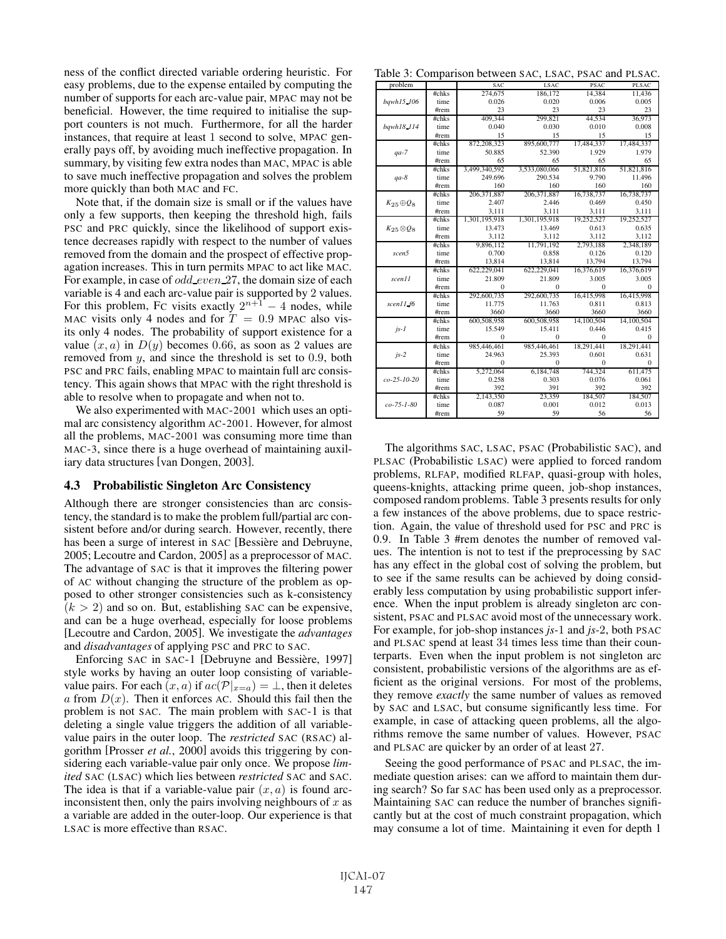ness of the conflict directed variable ordering heuristic. For easy problems, due to the expense entailed by computing the number of supports for each arc-value pair, MPAC may not be beneficial. However, the time required to initialise the support counters is not much. Furthermore, for all the harder instances, that require at least 1 second to solve, MPAC generally pays off, by avoiding much ineffective propagation. In summary, by visiting few extra nodes than MAC, MPAC is able to save much ineffective propagation and solves the problem more quickly than both MAC and FC.

Note that, if the domain size is small or if the values have only a few supports, then keeping the threshold high, fails PSC and PRC quickly, since the likelihood of support existence decreases rapidly with respect to the number of values removed from the domain and the prospect of effective propagation increases. This in turn permits MPAC to act like MAC. For example, in case of *odd\_even\_27*, the domain size of each variable is 4 and each arc-value pair is supported by 2 values. For this problem, FC visits exactly  $2^{n+1} - 4$  nodes, while MAC visits only 4 nodes and for  $T = 0.9$  MPAC also visits only 4 nodes. The probability of support existence for a value  $(x, a)$  in  $D(y)$  becomes 0.66, as soon as 2 values are removed from y, and since the threshold is set to 0.9, both PSC and PRC fails, enabling MPAC to maintain full arc consistency. This again shows that MPAC with the right threshold is able to resolve when to propagate and when not to.

We also experimented with MAC-2001 which uses an optimal arc consistency algorithm AC-2001. However, for almost all the problems, MAC-2001 was consuming more time than MAC-3, since there is a huge overhead of maintaining auxiliary data structures [van Dongen, 2003].

#### 4.3 Probabilistic Singleton Arc Consistency

Although there are stronger consistencies than arc consistency, the standard is to make the problem full/partial arc consistent before and/or during search. However, recently, there has been a surge of interest in SAC [Bessière and Debruyne, 2005; Lecoutre and Cardon, 2005] as a preprocessor of MAC. The advantage of SAC is that it improves the filtering power of AC without changing the structure of the problem as opposed to other stronger consistencies such as k-consistency  $(k > 2)$  and so on. But, establishing SAC can be expensive, and can be a huge overhead, especially for loose problems [Lecoutre and Cardon, 2005]. We investigate the *advantages* and *disadvantages* of applying PSC and PRC to SAC.

Enforcing SAC in SAC-1 [Debruyne and Bessière, 1997] style works by having an outer loop consisting of variablevalue pairs. For each  $(x, a)$  if  $ac(\mathcal{P}|_{x=a}) = \perp$ , then it deletes a from  $D(x)$ . Then it enforces AC. Should this fail then the problem is not SAC. The main problem with SAC-1 is that deleting a single value triggers the addition of all variablevalue pairs in the outer loop. The *restricted* SAC (RSAC) algorithm [Prosser *et al.*, 2000] avoids this triggering by considering each variable-value pair only once. We propose *limited* SAC (LSAC) which lies between *restricted* SAC and SAC. The idea is that if a variable-value pair  $(x, a)$  is found arcinconsistent then, only the pairs involving neighbours of  $x$  as a variable are added in the outer-loop. Our experience is that LSAC is more effective than RSAC.

Table 3: Comparison between SAC, LSAC, PSAC and PLSAC.

| problem              |       | <b>SAC</b>    | <b>LSAC</b>   | <b>PSAC</b> | <b>PLSAC</b> |
|----------------------|-------|---------------|---------------|-------------|--------------|
|                      | #chks | 274,675       | 186,172       | 14,384      | 11,436       |
| bawh15_106           | time  | 0.026         | 0.020         | 0.006       | 0.005        |
|                      | #rem  | 23            | 23            | 23          | 23           |
|                      | #chks | 409.344       | 299,821       | 44.534      | 36,973       |
| bqwh18_114           | time  | 0.040         | 0.030         | 0.010       | 0.008        |
|                      | #rem  | 15            | 15            | 15          | 15           |
|                      | #chks | 872,208,323   | 895,600,777   | 17,484,337  | 17,484,337   |
| $qa-7$               | time  | 50.885        | 52.390        | 1.929       | 1.979        |
|                      | #rem  | 65            | 65            | 65          | 65           |
|                      | #chks | 3,499,340,592 | 3,533,080,066 | 51,821,816  | 51,821,816   |
| $qa-8$               | time  | 249.696       | 290.534       | 9.790       | 11.496       |
|                      | #rem  | 160           | 160           | 160         | 160          |
|                      | #chks | 206, 371, 887 | 206, 371, 887 | 16,738,737  | 16,738,737   |
| $K_{25} \oplus Q_8$  | time  | 2.407         | 2.446         | 0.469       | 0.450        |
|                      | #rem  | 3,111         | 3,111         | 3,111       | 3,111        |
|                      | #chks | 1,301,195,918 | 1,301,195,918 | 19,252,527  | 19,252,527   |
| $K_{25} \otimes Q_8$ | time  | 13.473        | 13.469        | 0.613       | 0.635        |
|                      | #rem  | 3,112         | 3,112         | 3,112       | 3,112        |
|                      | #chks | 9,896,112     | 11.791.192    | 2.793.188   | 2,348,189    |
| scen5                | time  | 0.700         | 0.858         | 0.126       | 0.120        |
|                      | #rem  | 13,814        | 13,814        | 13,794      | 13,794       |
|                      | #chks | 622,229,041   | 622,229,041   | 16,376,619  | 16,376,619   |
| scen11               | time  | 21.809        | 21.809        | 3.005       | 3.005        |
|                      | #rem  | $\Omega$      | $\Omega$      | 0           | $\Omega$     |
|                      | #chks | 292,600,735   | 292,600,735   | 16,415,998  | 16,415,998   |
| scen11 f6            | time  | 11.775        | 11.763        | 0.811       | 0.813        |
|                      | #rem  | 3660          | 3660          | 3660        | 3660         |
|                      | #chks | 600,508,958   | 600,508,958   | 14,100,504  | 14,100,504   |
| $is-1$               | time  | 15.549        | 15.411        | 0.446       | 0.415        |
|                      | #rem  | $\mathbf{0}$  | $\Omega$      | $\Omega$    | $\Omega$     |
|                      | #chks | 985,446,461   | 985,446,461   | 18,291,441  | 18,291,441   |
| $js-2$               | time  | 24.963        | 25.393        | 0.601       | 0.631        |
|                      | #rem  | $\mathbf{0}$  | $\mathbf{0}$  | 0           | $\Omega$     |
|                      | #chks | 5,272,064     | 6,184,748     | 744,324     | 611,475      |
| $co-25-10-20$        | time  | 0.258         | 0.303         | 0.076       | 0.061        |
|                      | #rem  | 392           | 391           | 392         | 392          |
|                      | #chks | 2,143,350     | 23,359        | 184,507     | 184,507      |
| $co-75-1-80$         | time  | 0.087         | 0.001         | 0.012       | 0.013        |
|                      | #rem  | 59            | 59            | 56          | 56           |

The algorithms SAC, LSAC, PSAC (Probabilistic SAC), and PLSAC (Probabilistic LSAC) were applied to forced random problems, RLFAP, modified RLFAP, quasi-group with holes, queens-knights, attacking prime queen, job-shop instances, composed random problems. Table 3 presents results for only a few instances of the above problems, due to space restriction. Again, the value of threshold used for PSC and PRC is 0.9. In Table 3 #rem denotes the number of removed values. The intention is not to test if the preprocessing by SAC has any effect in the global cost of solving the problem, but to see if the same results can be achieved by doing considerably less computation by using probabilistic support inference. When the input problem is already singleton arc consistent, PSAC and PLSAC avoid most of the unnecessary work. For example, for job-shop instances *js-*1 and *js-*2, both PSAC and PLSAC spend at least 34 times less time than their counterparts. Even when the input problem is not singleton arc consistent, probabilistic versions of the algorithms are as efficient as the original versions. For most of the problems, they remove *exactly* the same number of values as removed by SAC and LSAC, but consume significantly less time. For example, in case of attacking queen problems, all the algorithms remove the same number of values. However, PSAC and PLSAC are quicker by an order of at least 27.

Seeing the good performance of PSAC and PLSAC, the immediate question arises: can we afford to maintain them during search? So far SAC has been used only as a preprocessor. Maintaining SAC can reduce the number of branches significantly but at the cost of much constraint propagation, which may consume a lot of time. Maintaining it even for depth 1